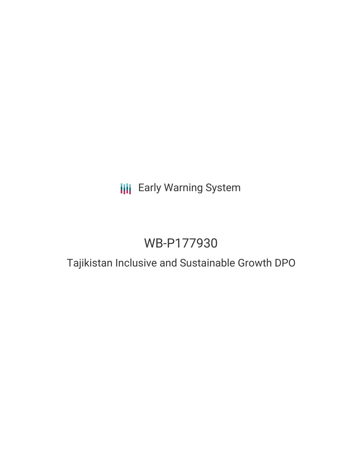# **III** Early Warning System

# WB-P177930

# Tajikistan Inclusive and Sustainable Growth DPO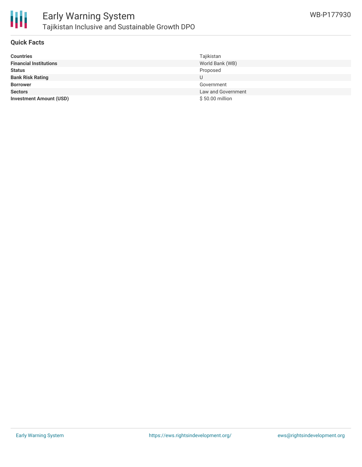

### **Quick Facts**

| <b>Countries</b>               | Tajikistan         |
|--------------------------------|--------------------|
| <b>Financial Institutions</b>  | World Bank (WB)    |
| <b>Status</b>                  | Proposed           |
| <b>Bank Risk Rating</b>        |                    |
| <b>Borrower</b>                | Government         |
| <b>Sectors</b>                 | Law and Government |
| <b>Investment Amount (USD)</b> | \$50.00 million    |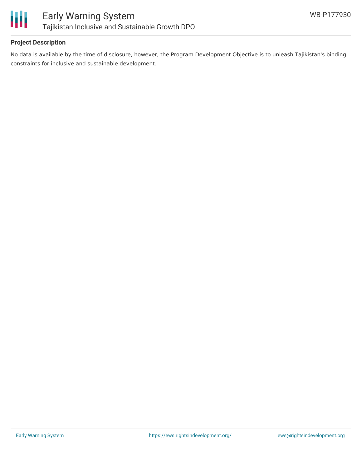

## **Project Description**

No data is available by the time of disclosure, however, the Program Development Objective is to unleash Tajikistan's binding constraints for inclusive and sustainable development.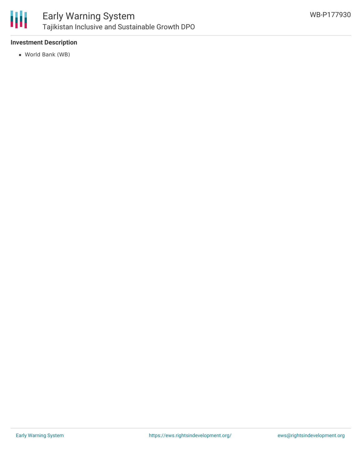

## Early Warning System Tajikistan Inclusive and Sustainable Growth DPO

## **Investment Description**

World Bank (WB)